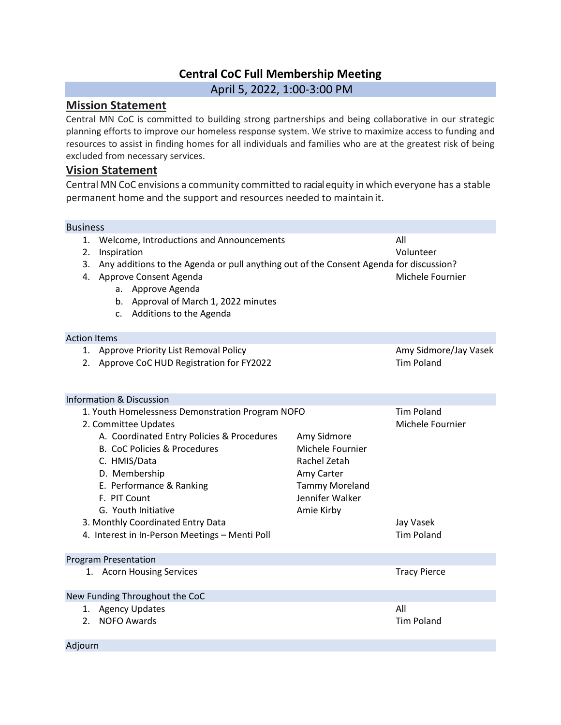## **Central CoC Full Membership Meeting**

April 5, 2022, 1:00-3:00 PM

## **Mission Statement**

Central MN CoC is committed to building strong partnerships and being collaborative in our strategic planning efforts to improve our homeless response system. We strive to maximize access to funding and resources to assist in finding homes for all individuals and families who are at the greatest risk of being excluded from necessary services.

## **Vision Statement**

Central MN CoC envisions a community committed to racialequity in which everyone has a stable permanent home and the support and resources needed to maintain it.

## Business

| <b>Welcome, Introductions and Announcements</b><br>1.<br>Inspiration<br>2.<br>Any additions to the Agenda or pull anything out of the Consent Agenda for discussion?<br>3.<br>4. Approve Consent Agenda<br>a. Approve Agenda<br>b. Approval of March 1, 2022 minutes<br>c. Additions to the Agenda                                                           | All<br>Volunteer<br>Michele Fournier                                                                                    |                                                                         |
|--------------------------------------------------------------------------------------------------------------------------------------------------------------------------------------------------------------------------------------------------------------------------------------------------------------------------------------------------------------|-------------------------------------------------------------------------------------------------------------------------|-------------------------------------------------------------------------|
| <b>Action Items</b>                                                                                                                                                                                                                                                                                                                                          |                                                                                                                         |                                                                         |
| 1. Approve Priority List Removal Policy<br>2. Approve CoC HUD Registration for FY2022                                                                                                                                                                                                                                                                        |                                                                                                                         | Amy Sidmore/Jay Vasek<br><b>Tim Poland</b>                              |
| <b>Information &amp; Discussion</b>                                                                                                                                                                                                                                                                                                                          |                                                                                                                         |                                                                         |
| 1. Youth Homelessness Demonstration Program NOFO<br>2. Committee Updates<br>A. Coordinated Entry Policies & Procedures<br><b>B. CoC Policies &amp; Procedures</b><br>C. HMIS/Data<br>D. Membership<br>E. Performance & Ranking<br>F. PIT Count<br>G. Youth Initiative<br>3. Monthly Coordinated Entry Data<br>4. Interest in In-Person Meetings - Menti Poll | Amy Sidmore<br>Michele Fournier<br>Rachel Zetah<br>Amy Carter<br><b>Tammy Moreland</b><br>Jennifer Walker<br>Amie Kirby | <b>Tim Poland</b><br>Michele Fournier<br>Jay Vasek<br><b>Tim Poland</b> |
| <b>Program Presentation</b>                                                                                                                                                                                                                                                                                                                                  |                                                                                                                         |                                                                         |
| 1. Acorn Housing Services                                                                                                                                                                                                                                                                                                                                    |                                                                                                                         | <b>Tracy Pierce</b>                                                     |
| New Funding Throughout the CoC                                                                                                                                                                                                                                                                                                                               |                                                                                                                         |                                                                         |
| 1. Agency Updates<br>2. NOFO Awards                                                                                                                                                                                                                                                                                                                          |                                                                                                                         | All<br><b>Tim Poland</b>                                                |
| Adjourn                                                                                                                                                                                                                                                                                                                                                      |                                                                                                                         |                                                                         |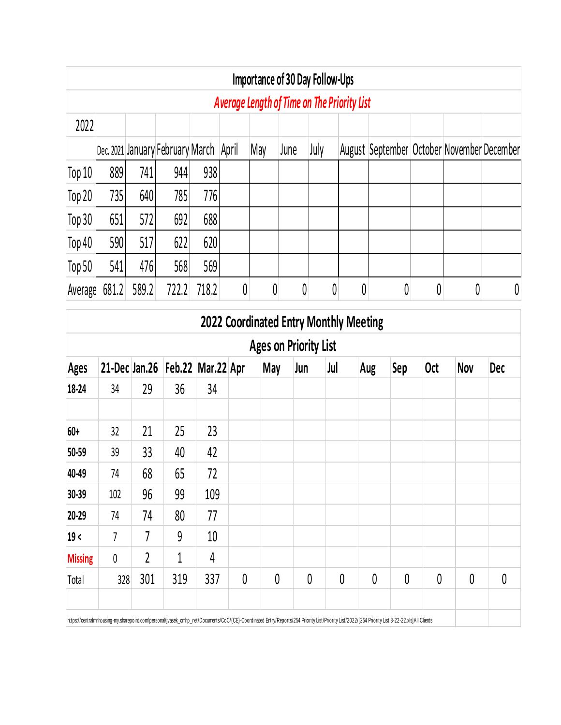|         |                                                    |       |                                  |       |       |     |      | Importance of 30 Day Follow-Ups |   |                                            |   |   |   |  |  |
|---------|----------------------------------------------------|-------|----------------------------------|-------|-------|-----|------|---------------------------------|---|--------------------------------------------|---|---|---|--|--|
|         | <b>Average Length of Time on The Priority List</b> |       |                                  |       |       |     |      |                                 |   |                                            |   |   |   |  |  |
| 2022    |                                                    |       |                                  |       |       |     |      |                                 |   |                                            |   |   |   |  |  |
|         |                                                    |       | Dec. 2021 January February March |       | April | May | June | July                            |   | August September October November December |   |   |   |  |  |
| Top 10  | 889                                                | 741   | 944                              | 938   |       |     |      |                                 |   |                                            |   |   |   |  |  |
| Top 20  | 735                                                | 640   | 785                              | 776   |       |     |      |                                 |   |                                            |   |   |   |  |  |
| Top 30  | 651                                                | 572   | 692                              | 688   |       |     |      |                                 |   |                                            |   |   |   |  |  |
| Top 40  | 590                                                | 517   | 622                              | 620   |       |     |      |                                 |   |                                            |   |   |   |  |  |
| Top 50  | 541                                                | 476   | 568                              | 569   |       |     |      |                                 |   |                                            |   |   |   |  |  |
| Average | 681.2                                              | 589.2 | 722.2                            | 718.2 | 0     | 0   | 0    | 0                               | 0 | $\mathbf{0}$                               | 0 | 0 | 0 |  |  |

|                | <b>Ages on Priority List</b> |                |                                     |     |          |              |          |     |          |          |            |     |            |
|----------------|------------------------------|----------------|-------------------------------------|-----|----------|--------------|----------|-----|----------|----------|------------|-----|------------|
| Ages           |                              |                | 21-Dec Jan.26   Feb.22   Mar.22 Apr |     |          | May          | Jun      | Jul | Aug      | Sep      | <b>Oct</b> | Nov | <b>Dec</b> |
| 18-24          | 34                           | 29             | 36                                  | 34  |          |              |          |     |          |          |            |     |            |
|                |                              |                |                                     |     |          |              |          |     |          |          |            |     |            |
| $60+$          | 32                           | 21             | 25                                  | 23  |          |              |          |     |          |          |            |     |            |
| 50-59          | 39                           | 33             | 40                                  | 42  |          |              |          |     |          |          |            |     |            |
| 40-49          | 74                           | 68             | 65                                  | 72  |          |              |          |     |          |          |            |     |            |
| 30-39          | 102                          | 96             | 99                                  | 109 |          |              |          |     |          |          |            |     |            |
| 20-29          | 74                           | 74             | 80                                  | 77  |          |              |          |     |          |          |            |     |            |
| 19<            | 7                            | 7              | 9                                   | 10  |          |              |          |     |          |          |            |     |            |
| <b>Missing</b> | 0                            | $\overline{2}$ | $\mathbf{1}$                        | 4   |          |              |          |     |          |          |            |     |            |
| Total          | 328                          | 301            | 319                                 | 337 | $\theta$ | $\mathbf{0}$ | $\theta$ | 0   | $\theta$ | $\theta$ | 0          | 0   | $\theta$   |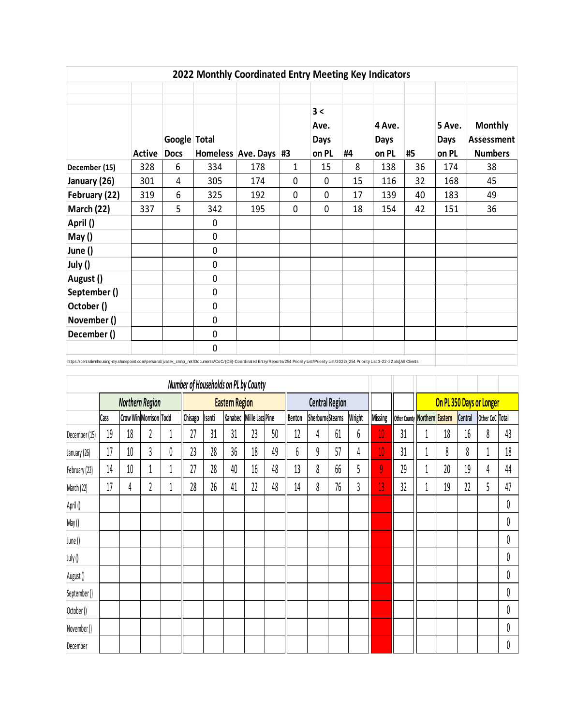|                                                                                                                                                                                                   | 2022 Monthly Coordinated Entry Meeting Key Indicators |              |                  |                       |   |                            |    |                       |    |                       |                              |  |  |  |  |
|---------------------------------------------------------------------------------------------------------------------------------------------------------------------------------------------------|-------------------------------------------------------|--------------|------------------|-----------------------|---|----------------------------|----|-----------------------|----|-----------------------|------------------------------|--|--|--|--|
|                                                                                                                                                                                                   |                                                       |              |                  |                       |   |                            |    |                       |    |                       |                              |  |  |  |  |
|                                                                                                                                                                                                   |                                                       | Google Total |                  |                       |   | 3 <<br>Ave.<br><b>Days</b> |    | 4 Ave.<br><b>Days</b> |    | 5 Ave.<br><b>Days</b> | <b>Monthly</b><br>Assessment |  |  |  |  |
|                                                                                                                                                                                                   | Active                                                | <b>Docs</b>  |                  | Homeless Ave. Days #3 |   | on PL                      | #4 | on PL                 | #5 | on PL                 | <b>Numbers</b>               |  |  |  |  |
| December (15)                                                                                                                                                                                     | 328                                                   | 6            | 334              | 178                   | 1 | 15                         | 8  | 138                   | 36 | 174                   | 38                           |  |  |  |  |
| January (26)                                                                                                                                                                                      | 301                                                   | 4            | 305              | 174                   | 0 | 0                          | 15 | 116                   | 32 | 168                   | 45                           |  |  |  |  |
| February (22)                                                                                                                                                                                     | 319                                                   | 6            | 325              | 192                   | 0 | 0                          | 17 | 139                   | 40 | 183                   | 49                           |  |  |  |  |
| March (22)                                                                                                                                                                                        | 337                                                   | 5            | 342              | 195                   | 0 | 0                          | 18 | 154                   | 42 | 151                   | 36                           |  |  |  |  |
| April ()                                                                                                                                                                                          |                                                       |              | 0                |                       |   |                            |    |                       |    |                       |                              |  |  |  |  |
| May()                                                                                                                                                                                             |                                                       |              | 0                |                       |   |                            |    |                       |    |                       |                              |  |  |  |  |
| June ()                                                                                                                                                                                           |                                                       |              | 0                |                       |   |                            |    |                       |    |                       |                              |  |  |  |  |
| July ()                                                                                                                                                                                           |                                                       |              | $\mathbf 0$      |                       |   |                            |    |                       |    |                       |                              |  |  |  |  |
| August ()                                                                                                                                                                                         |                                                       |              | 0                |                       |   |                            |    |                       |    |                       |                              |  |  |  |  |
| September ()                                                                                                                                                                                      |                                                       |              | $\boldsymbol{0}$ |                       |   |                            |    |                       |    |                       |                              |  |  |  |  |
| October ()                                                                                                                                                                                        |                                                       |              | 0                |                       |   |                            |    |                       |    |                       |                              |  |  |  |  |
| November ()                                                                                                                                                                                       |                                                       |              | 0                |                       |   |                            |    |                       |    |                       |                              |  |  |  |  |
| December ()                                                                                                                                                                                       |                                                       |              | 0                |                       |   |                            |    |                       |    |                       |                              |  |  |  |  |
|                                                                                                                                                                                                   |                                                       |              | $\mathbf 0$      |                       |   |                            |    |                       |    |                       |                              |  |  |  |  |
| https://centralmnhousing-my.sharepoint.com/personal/jvasek_cmhp_net/Documents/CoC/(CE)-Coordinated Entry/Reports/254 Priority List/Priority List/2022/[254 Priority List 3-22-22.xls] All Clients |                                                       |              |                  |                       |   |                            |    |                       |    |                       |                              |  |  |  |  |

|               | Number of Households on PL by County |                        |               |   |         |        |                       |                         |    |        |                       |    |        |              |    |                               |    |                |                          |    |
|---------------|--------------------------------------|------------------------|---------------|---|---------|--------|-----------------------|-------------------------|----|--------|-----------------------|----|--------|--------------|----|-------------------------------|----|----------------|--------------------------|----|
|               |                                      | <b>Northern Region</b> |               |   |         |        | <b>Eastern Region</b> |                         |    |        | <b>Central Region</b> |    |        |              |    |                               |    |                | On PL 350 Days or Longer |    |
|               | Cass                                 | Crow Win Morrison Todd |               |   | Chisago | Isanti |                       | Kanabec Mille Lacs Pine |    | Benton | SherburneStearns      |    | Wright | Missing      |    | Other County Northern Eastern |    | <b>Central</b> | Other CoC Total          |    |
| December (15) | 19                                   | 18                     | 2             |   | 27      | 31     | 31                    | 23                      | 50 | 12     | 4                     | 61 | 6      | $10^{\circ}$ | 31 |                               | 18 | 16             | 8                        | 43 |
| January (26)  | 17                                   | 10                     | 3             | 0 | 23      | 28     | 36                    | 18                      | 49 | 6      | 9                     | 57 | 4      | 10           | 31 |                               | 8  | 8              |                          | 18 |
| February (22) | 14                                   | 10                     |               |   | 27      | 28     | 40                    | 16                      | 48 | 13     | 8                     | 66 | 5      | 9            | 29 |                               | 20 | 19             | 4                        | 44 |
| March (22)    | 17                                   | 4                      | $\mathfrak z$ |   | 28      | 26     | 41                    | 22                      | 48 | 14     | 8                     | 76 | 3      | 13           | 32 |                               | 19 | 22             | 5                        | 47 |
| April ()      |                                      |                        |               |   |         |        |                       |                         |    |        |                       |    |        |              |    |                               |    |                |                          | 0  |
| May()         |                                      |                        |               |   |         |        |                       |                         |    |        |                       |    |        |              |    |                               |    |                |                          | 0  |
| June ()       |                                      |                        |               |   |         |        |                       |                         |    |        |                       |    |        |              |    |                               |    |                |                          | 0  |
| July ()       |                                      |                        |               |   |         |        |                       |                         |    |        |                       |    |        |              |    |                               |    |                |                          | 0  |
| August()      |                                      |                        |               |   |         |        |                       |                         |    |        |                       |    |        |              |    |                               |    |                |                          | 0  |
| September()   |                                      |                        |               |   |         |        |                       |                         |    |        |                       |    |        |              |    |                               |    |                |                          | 0  |
| October()     |                                      |                        |               |   |         |        |                       |                         |    |        |                       |    |        |              |    |                               |    |                |                          | 0  |
| November()    |                                      |                        |               |   |         |        |                       |                         |    |        |                       |    |        |              |    |                               |    |                |                          | 0  |
| December      |                                      |                        |               |   |         |        |                       |                         |    |        |                       |    |        |              |    |                               |    |                |                          | 0  |